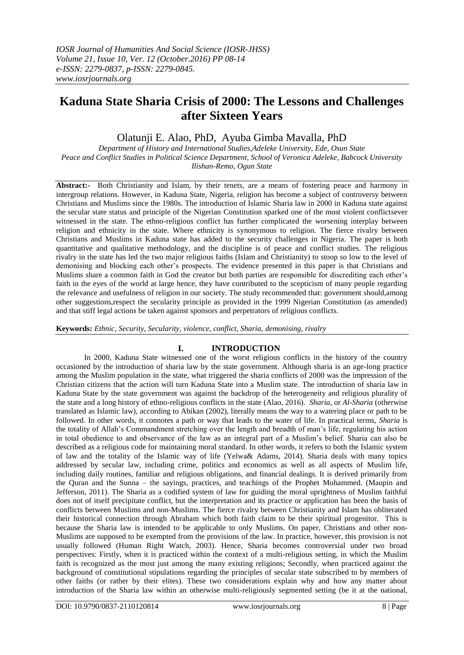# **Kaduna State Sharia Crisis of 2000: The Lessons and Challenges after Sixteen Years**

Olatunji E. Alao, PhD, Ayuba Gimba Mavalla, PhD

*Department of History and International Studies,Adeleke University, Ede, Osun State Peace and Conflict Studies in Political Science Department, School of Veronica Adeleke, Babcock University Ilishan-Remo, Ogun State* 

**Abstract:-** Both Christianity and Islam, by their tenets, are a means of fostering peace and harmony in intergroup relations. However, in Kaduna State, Nigeria, religion has become a subject of controversy between Christians and Muslims since the 1980s. The introduction of Islamic Sharia law in 2000 in Kaduna state against the secular state status and principle of the Nigerian Constitution sparked one of the most violent conflictsever witnessed in the state. The ethno-religious conflict has further complicated the worsening interplay between religion and ethnicity in the state. Where ethnicity is synonymous to religion. The fierce rivalry between Christians and Muslims in Kaduna state has added to the security challenges in Nigeria. The paper is both quantitative and qualitative methodology, and the discipline is of peace and conflict studies. The religious rivalry in the state has led the two major religious faiths (Islam and Christianity) to stoop so low to the level of demonising and blocking each other"s prospects. The evidence presented in this paper is that Christians and Muslims share a common faith in God the creator but both parties are responsible for discrediting each other"s faith in the eyes of the world at large hence, they have contributed to the scepticism of many people regarding the relevance and usefulness of religion in our society. The study recommended that: government should,among other suggestions,respect the secularity principle as provided in the 1999 Nigerian Constitution (as amended) and that stiff legal actions be taken against sponsors and perpetrators of religious conflicts.

**Keywords:** *Ethnic, Security, Secularity, violence, conflict, Sharia, demonising, rivalry*

# **I. INTRODUCTION**

In 2000, Kaduna State witnessed one of the worst religious conflicts in the history of the country occasioned by the introduction of sharia law by the state government. Although sharia is an age-long practice among the Muslim population in the state, what triggered the sharia conflicts of 2000 was the impression of the Christian citizens that the action will turn Kaduna State into a Muslim state. The introduction of sharia law in Kaduna State by the state government was against the backdrop of the heterogeneity and religious plurality of the state and a long history of ethno-religious conflicts in the state (Alao, 2016). *Sharia,* or *Al-Sharia* (otherwise translated as Islamic law), according to Abikan (2002), literally means the way to a watering place or path to be followed. In other words, it connotes a path or way that leads to the water of life. In practical terms, *Sharia* is the totality of Allah"s Commandment stretching over the length and breadth of man"s life, regulating his action in total obedience to and observance of the law as an integral part of a Muslim"s belief. Sharia can also be described as a religious code for maintaining moral standard. In other words, it refers to both the Islamic system of law and the totality of the Islamic way of life (Yelwa& Adams, 2014). Sharia deals with many topics addressed by secular law, including crime, politics and economics as well as all aspects of Muslim life, including daily routines, familiar and religious obligations, and financial dealings. It is derived primarily from the Quran and the Sunna – the sayings, practices, and teachings of the Prophet Mohammed. (Maupin and Jefferson, 2011). The Sharia as a codified system of law for guiding the moral uprightness of Muslim faithful does not of itself precipitate conflict, but the interpretation and its practice or application has been the basis of conflicts between Muslims and non-Muslims. The fierce rivalry between Christianity and Islam has obliterated their historical connection through Abraham which both faith claim to be their spiritual progenitor. This is because the Sharia law is intended to be applicable to only Muslims. On paper, Christians and other non-Muslims are supposed to be exempted from the provisions of the law. In practice, however, this provision is not usually followed (Human Right Watch, 2003). Hence, Sharia becomes controversial under two broad perspectives: Firstly, when it is practiced within the context of a multi-religious setting, in which the Muslim faith is recognized as the most just among the many existing religions; Secondly, when practiced against the background of constitutional stipulations regarding the principles of secular state subscribed to by members of other faiths (or rather by their elites). These two considerations explain why and how any matter about introduction of the Sharia law within an otherwise multi-religiously segmented setting (be it at the national,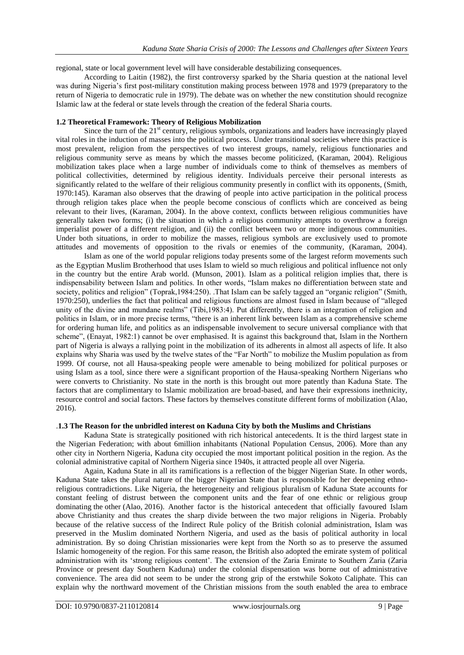regional, state or local government level will have considerable destabilizing consequences.

According to Laitin (1982), the first controversy sparked by the Sharia question at the national level was during Nigeria"s first post-military constitution making process between 1978 and 1979 (preparatory to the return of Nigeria to democratic rule in 1979). The debate was on whether the new constitution should recognize Islamic law at the federal or state levels through the creation of the federal Sharia courts.

#### **1.2 Theoretical Framework: Theory of Religious Mobilization**

Since the turn of the 21<sup>st</sup> century, religious symbols, organizations and leaders have increasingly played vital roles in the induction of masses into the political process. Under transitional societies where this practice is most prevalent, religion from the perspectives of two interest groups, namely, religious functionaries and religious community serve as means by which the masses become politicized, (Karaman, 2004). Religious mobilization takes place when a large number of individuals come to think of themselves as members of political collectivities, determined by religious identity. Individuals perceive their personal interests as significantly related to the welfare of their religious community presently in conflict with its opponents, (Smith, 1970:145). Karaman also observes that the drawing of people into active participation in the political process through religion takes place when the people become conscious of conflicts which are conceived as being relevant to their lives, (Karaman, 2004). In the above context, conflicts between religious communities have generally taken two forms; (i) the situation in which a religious community attempts to overthrow a foreign imperialist power of a different religion, and (ii) the conflict between two or more indigenous communities. Under both situations, in order to mobilize the masses, religious symbols are exclusively used to promote attitudes and movements of opposition to the rivals or enemies of the community, (Karaman, 2004).

Islam as one of the world popular religions today presents some of the largest reform movements such as the Egyptian Muslim Brotherhood that uses Islam to wield so much religious and political influence not only in the country but the entire Arab world. (Munson, 2001). Islam as a political religion implies that, there is indispensability between Islam and politics. In other words, "Islam makes no differentiation between state and society, politics and religion" (Toprak,1984:250). .That Islam can be safely tagged an "organic religion" (Smith, 1970:250), underlies the fact that political and religious functions are almost fused in Islam because of "alleged unity of the divine and mundane realms" (Tibi,1983:4). Put differently, there is an integration of religion and politics in Islam, or in more precise terms, "there is an inherent link between Islam as a comprehensive scheme for ordering human life, and politics as an indispensable involvement to secure universal compliance with that scheme", (Enayat, 1982:1) cannot be over emphasised. It is against this background that, Islam in the Northern part of Nigeria is always a rallying point in the mobilization of its adherents in almost all aspects of life. It also explains why Sharia was used by the twelve states of the "Far North" to mobilize the Muslim population as from 1999. Of course, not all Hausa-speaking people were amenable to being mobilized for political purposes or using Islam as a tool, since there were a significant proportion of the Hausa-speaking Northern Nigerians who were converts to Christianity. No state in the north is this brought out more patently than Kaduna State. The factors that are complimentary to Islamic mobilization are broad-based, and have their expressions inethnicity, resource control and social factors. These factors by themselves constitute different forms of mobilization (Alao, 2016).

## .**1.3 The Reason for the unbridled interest on Kaduna City by both the Muslims and Christians**

Kaduna State is strategically positioned with rich historical antecedents. It is the third largest state in the Nigerian Federation; with about 6million inhabitants (National Population Census, 2006). More than any other city in Northern Nigeria, Kaduna city occupied the most important political position in the region. As the colonial administrative capital of Northern Nigeria since 1940s, it attracted people all over Nigeria.

Again, Kaduna State in all its ramifications is a reflection of the bigger Nigerian State. In other words, Kaduna State takes the plural nature of the bigger Nigerian State that is responsible for her deepening ethnoreligious contradictions. Like Nigeria, the heterogeneity and religious pluralism of Kaduna State accounts for constant feeling of distrust between the component units and the fear of one ethnic or religious group dominating the other (Alao, 2016). Another factor is the historical antecedent that officially favoured Islam above Christianity and thus creates the sharp divide between the two major religions in Nigeria. Probably because of the relative success of the Indirect Rule policy of the British colonial administration, Islam was preserved in the Muslim dominated Northern Nigeria, and used as the basis of political authority in local administration. By so doing Christian missionaries were kept from the North so as to preserve the assumed Islamic homogeneity of the region. For this same reason, the British also adopted the emirate system of political administration with its "strong religious content". The extension of the Zaria Emirate to Southern Zaria (Zaria Province or present day Southern Kaduna) under the colonial dispensation was borne out of administrative convenience. The area did not seem to be under the strong grip of the erstwhile Sokoto Caliphate. This can explain why the northward movement of the Christian missions from the south enabled the area to embrace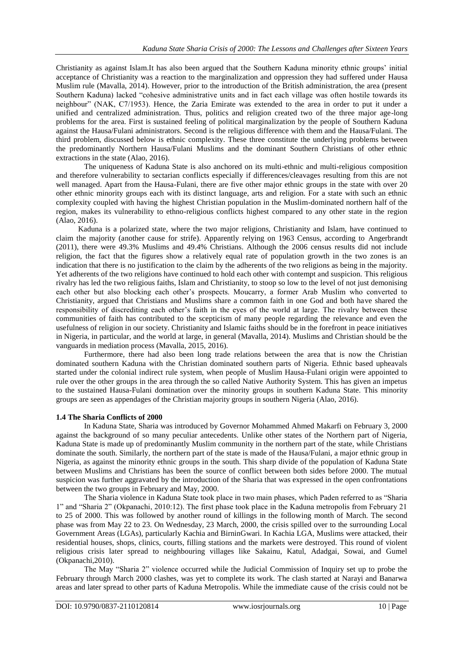Christianity as against Islam.It has also been argued that the Southern Kaduna minority ethnic groups" initial acceptance of Christianity was a reaction to the marginalization and oppression they had suffered under Hausa Muslim rule (Mavalla, 2014). However, prior to the introduction of the British administration, the area (present Southern Kaduna) lacked "cohesive administrative units and in fact each village was often hostile towards its neighbour" (NAK, C7/1953). Hence, the Zaria Emirate was extended to the area in order to put it under a unified and centralized administration. Thus, politics and religion created two of the three major age-long problems for the area. First is sustained feeling of political marginalization by the people of Southern Kaduna against the Hausa/Fulani administrators. Second is the religious difference with them and the Hausa/Fulani. The third problem, discussed below is ethnic complexity. These three constitute the underlying problems between the predominantly Northern Hausa/Fulani Muslims and the dominant Southern Christians of other ethnic extractions in the state (Alao, 2016).

The uniqueness of Kaduna State is also anchored on its multi-ethnic and multi-religious composition and therefore vulnerability to sectarian conflicts especially if differences/cleavages resulting from this are not well managed. Apart from the Hausa-Fulani, there are five other major ethnic groups in the state with over 20 other ethnic minority groups each with its distinct language, arts and religion. For a state with such an ethnic complexity coupled with having the highest Christian population in the Muslim-dominated northern half of the region, makes its vulnerability to ethno-religious conflicts highest compared to any other state in the region (Alao, 2016).

Kaduna is a polarized state, where the two major religions, Christianity and Islam, have continued to claim the majority (another cause for strife). Apparently relying on 1963 Census, according to Angerbrandt (2011), there were 49.3% Muslims and 49.4% Christians. Although the 2006 census results did not include religion, the fact that the figures show a relatively equal rate of population growth in the two zones is an indication that there is no justification to the claim by the adherents of the two religions as being in the majority. Yet adherents of the two religions have continued to hold each other with contempt and suspicion. This religious rivalry has led the two religious faiths, Islam and Christianity, to stoop so low to the level of not just demonising each other but also blocking each other"s prospects. Moucarry, a former Arab Muslim who converted to Christianity, argued that Christians and Muslims share a common faith in one God and both have shared the responsibility of discrediting each other"s faith in the eyes of the world at large. The rivalry between these communities of faith has contributed to the scepticism of many people regarding the relevance and even the usefulness of religion in our society. Christianity and Islamic faiths should be in the forefront in peace initiatives in Nigeria, in particular, and the world at large, in general (Mavalla, 2014). Muslims and Christian should be the vanguards in mediation process (Mavalla, 2015, 2016).

Furthermore, there had also been long trade relations between the area that is now the Christian dominated southern Kaduna with the Christian dominated southern parts of Nigeria. Ethnic based upheavals started under the colonial indirect rule system, when people of Muslim Hausa-Fulani origin were appointed to rule over the other groups in the area through the so called Native Authority System. This has given an impetus to the sustained Hausa-Fulani domination over the minority groups in southern Kaduna State. This minority groups are seen as appendages of the Christian majority groups in southern Nigeria (Alao, 2016).

### **1.4 The Sharia Conflicts of 2000**

In Kaduna State, Sharia was introduced by Governor Mohammed Ahmed Makarfi on February 3, 2000 against the background of so many peculiar antecedents. Unlike other states of the Northern part of Nigeria, Kaduna State is made up of predominantly Muslim community in the northern part of the state, while Christians dominate the south. Similarly, the northern part of the state is made of the Hausa/Fulani, a major ethnic group in Nigeria, as against the minority ethnic groups in the south. This sharp divide of the population of Kaduna State between Muslims and Christians has been the source of conflict between both sides before 2000. The mutual suspicion was further aggravated by the introduction of the Sharia that was expressed in the open confrontations between the two groups in February and May, 2000.

The Sharia violence in Kaduna State took place in two main phases, which Paden referred to as "Sharia 1" and "Sharia 2" (Okpanachi, 2010:12). The first phase took place in the Kaduna metropolis from February 21 to 25 of 2000. This was followed by another round of killings in the following month of March. The second phase was from May 22 to 23. On Wednesday, 23 March, 2000, the crisis spilled over to the surrounding Local Government Areas (LGAs), particularly Kachia and BirninGwari. In Kachia LGA, Muslims were attacked, their residential houses, shops, clinics, courts, filling stations and the markets were destroyed. This round of violent religious crisis later spread to neighbouring villages like Sakainu, Katul, Adadgai, Sowai, and Gumel (Okpanachi,2010).

The May "Sharia 2" violence occurred while the Judicial Commission of Inquiry set up to probe the February through March 2000 clashes, was yet to complete its work. The clash started at Narayi and Banarwa areas and later spread to other parts of Kaduna Metropolis. While the immediate cause of the crisis could not be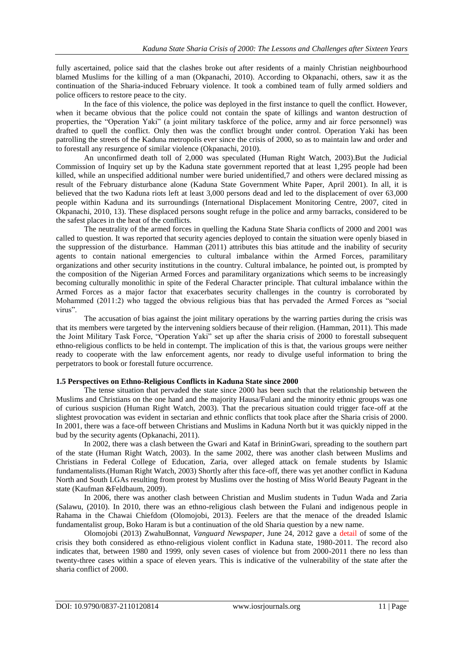fully ascertained, police said that the clashes broke out after residents of a mainly Christian neighbourhood blamed Muslims for the killing of a man (Okpanachi, 2010). According to Okpanachi, others, saw it as the continuation of the Sharia-induced February violence. It took a combined team of fully armed soldiers and police officers to restore peace to the city.

In the face of this violence, the police was deployed in the first instance to quell the conflict. However, when it became obvious that the police could not contain the spate of killings and wanton destruction of properties, the "Operation Yaki" (a joint military taskforce of the police, army and air force personnel) was drafted to quell the conflict. Only then was the conflict brought under control. Operation Yaki has been patrolling the streets of the Kaduna metropolis ever since the crisis of 2000, so as to maintain law and order and to forestall any resurgence of similar violence (Okpanachi, 2010).

An unconfirmed death toll of 2,000 was speculated (Human Right Watch, 2003).But the Judicial Commission of Inquiry set up by the Kaduna state government reported that at least 1,295 people had been killed, while an unspecified additional number were buried unidentified,7 and others were declared missing as result of the February disturbance alone (Kaduna State Government White Paper, April 2001). In all, it is believed that the two Kaduna riots left at least 3,000 persons dead and led to the displacement of over 63,000 people within Kaduna and its surroundings (International Displacement Monitoring Centre, 2007, cited in Okpanachi, 2010, 13). These displaced persons sought refuge in the police and army barracks, considered to be the safest places in the heat of the conflicts.

The neutrality of the armed forces in quelling the Kaduna State Sharia conflicts of 2000 and 2001 was called to question. It was reported that security agencies deployed to contain the situation were openly biased in the suppression of the disturbance. Hamman (2011) attributes this bias attitude and the inability of security agents to contain national emergencies to cultural imbalance within the Armed Forces, paramilitary organizations and other security institutions in the country. Cultural imbalance, he pointed out, is prompted by the composition of the Nigerian Armed Forces and paramilitary organizations which seems to be increasingly becoming culturally monolithic in spite of the Federal Character principle. That cultural imbalance within the Armed Forces as a major factor that exacerbates security challenges in the country is corroborated by Mohammed (2011:2) who tagged the obvious religious bias that has pervaded the Armed Forces as "social virus".

The accusation of bias against the joint military operations by the warring parties during the crisis was that its members were targeted by the intervening soldiers because of their religion. (Hamman, 2011). This made the Joint Military Task Force, "Operation Yaki" set up after the sharia crisis of 2000 to forestall subsequent ethno-religious conflicts to be held in contempt. The implication of this is that, the various groups were neither ready to cooperate with the law enforcement agents, nor ready to divulge useful information to bring the perpetrators to book or forestall future occurrence.

### **1.5 Perspectives on Ethno-Religious Conflicts in Kaduna State since 2000**

The tense situation that pervaded the state since 2000 has been such that the relationship between the Muslims and Christians on the one hand and the majority Hausa/Fulani and the minority ethnic groups was one of curious suspicion (Human Right Watch, 2003). That the precarious situation could trigger face-off at the slightest provocation was evident in sectarian and ethnic conflicts that took place after the Sharia crisis of 2000. In 2001, there was a face-off between Christians and Muslims in Kaduna North but it was quickly nipped in the bud by the security agents (Opkanachi, 2011).

In 2002, there was a clash between the Gwari and Kataf in BrininGwari, spreading to the southern part of the state (Human Right Watch, 2003). In the same 2002, there was another clash between Muslims and Christians in Federal College of Education, Zaria, over alleged attack on female students by Islamic fundamentalists.(Human Right Watch, 2003) Shortly after this face-off, there was yet another conflict in Kaduna North and South LGAs resulting from protest by Muslims over the hosting of Miss World Beauty Pageant in the state (Kaufman &Feldbaum, 2009).

In 2006, there was another clash between Christian and Muslim students in Tudun Wada and Zaria (Salawu, (2010). In 2010, there was an ethno-religious clash between the Fulani and indigenous people in Rahama in the Chawai Chiefdom (Olomojobi, 2013). Feelers are that the menace of the dreaded Islamic fundamentalist group, Boko Haram is but a continuation of the old Sharia question by a new name.

Olomojobi (2013) ZwahuBonnat, *Vanguard Newspaper*, June 24, 2012 gave a detail of some of the crisis they both considered as ethno-religious violent conflict in Kaduna state, 1980-2011. The record also indicates that, between 1980 and 1999, only seven cases of violence but from 2000-2011 there no less than twenty-three cases within a space of eleven years. This is indicative of the vulnerability of the state after the sharia conflict of 2000.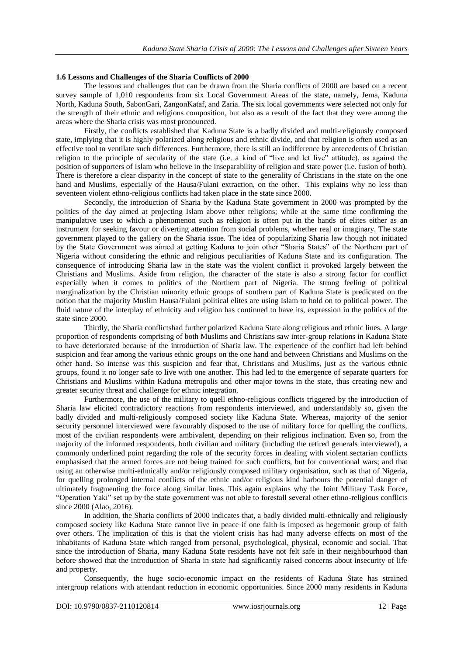# **1.6 Lessons and Challenges of the Sharia Conflicts of 2000**

The lessons and challenges that can be drawn from the Sharia conflicts of 2000 are based on a recent survey sample of 1,010 respondents from six Local Government Areas of the state, namely, Jema, Kaduna North, Kaduna South, SabonGari, ZangonKataf, and Zaria. The six local governments were selected not only for the strength of their ethnic and religious composition, but also as a result of the fact that they were among the areas where the Sharia crisis was most pronounced.

Firstly, the conflicts established that Kaduna State is a badly divided and multi-religiously composed state, implying that it is highly polarized along religious and ethnic divide, and that religion is often used as an effective tool to ventilate such differences. Furthermore, there is still an indifference by antecedents of Christian religion to the principle of secularity of the state (i.e. a kind of "live and let live" attitude), as against the position of supporters of Islam who believe in the inseparability of religion and state power (i.e. fusion of both). There is therefore a clear disparity in the concept of state to the generality of Christians in the state on the one hand and Muslims, especially of the Hausa/Fulani extraction, on the other. This explains why no less than seventeen violent ethno-religious conflicts had taken place in the state since 2000.

Secondly, the introduction of Sharia by the Kaduna State government in 2000 was prompted by the politics of the day aimed at projecting Islam above other religions; while at the same time confirming the manipulative uses to which a phenomenon such as religion is often put in the hands of elites either as an instrument for seeking favour or diverting attention from social problems, whether real or imaginary. The state government played to the gallery on the Sharia issue. The idea of popularizing Sharia law though not initiated by the State Government was aimed at getting Kaduna to join other "Sharia States" of the Northern part of Nigeria without considering the ethnic and religious peculiarities of Kaduna State and its configuration. The consequence of introducing Sharia law in the state was the violent conflict it provoked largely between the Christians and Muslims. Aside from religion, the character of the state is also a strong factor for conflict especially when it comes to politics of the Northern part of Nigeria. The strong feeling of political marginalization by the Christian minority ethnic groups of southern part of Kaduna State is predicated on the notion that the majority Muslim Hausa/Fulani political elites are using Islam to hold on to political power. The fluid nature of the interplay of ethnicity and religion has continued to have its, expression in the politics of the state since 2000.

Thirdly, the Sharia conflictshad further polarized Kaduna State along religious and ethnic lines. A large proportion of respondents comprising of both Muslims and Christians saw inter-group relations in Kaduna State to have deteriorated because of the introduction of Sharia law. The experience of the conflict had left behind suspicion and fear among the various ethnic groups on the one hand and between Christians and Muslims on the other hand. So intense was this suspicion and fear that, Christians and Muslims, just as the various ethnic groups, found it no longer safe to live with one another. This had led to the emergence of separate quarters for Christians and Muslims within Kaduna metropolis and other major towns in the state, thus creating new and greater security threat and challenge for ethnic integration.

Furthermore, the use of the military to quell ethno-religious conflicts triggered by the introduction of Sharia law elicited contradictory reactions from respondents interviewed, and understandably so, given the badly divided and multi-religiously composed society like Kaduna State. Whereas, majority of the senior security personnel interviewed were favourably disposed to the use of military force for quelling the conflicts, most of the civilian respondents were ambivalent, depending on their religious inclination. Even so, from the majority of the informed respondents, both civilian and military (including the retired generals interviewed), a commonly underlined point regarding the role of the security forces in dealing with violent sectarian conflicts emphasised that the armed forces are not being trained for such conflicts, but for conventional wars; and that using an otherwise multi-ethnically and/or religiously composed military organisation, such as that of Nigeria, for quelling prolonged internal conflicts of the ethnic and/or religious kind harbours the potential danger of ultimately fragmenting the force along similar lines. This again explains why the Joint Military Task Force, "Operation Yaki" set up by the state government was not able to forestall several other ethno-religious conflicts since 2000 (Alao, 2016).

In addition, the Sharia conflicts of 2000 indicates that, a badly divided multi-ethnically and religiously composed society like Kaduna State cannot live in peace if one faith is imposed as hegemonic group of faith over others. The implication of this is that the violent crisis has had many adverse effects on most of the inhabitants of Kaduna State which ranged from personal, psychological, physical, economic and social. That since the introduction of Sharia, many Kaduna State residents have not felt safe in their neighbourhood than before showed that the introduction of Sharia in state had significantly raised concerns about insecurity of life and property.

Consequently, the huge socio-economic impact on the residents of Kaduna State has strained intergroup relations with attendant reduction in economic opportunities. Since 2000 many residents in Kaduna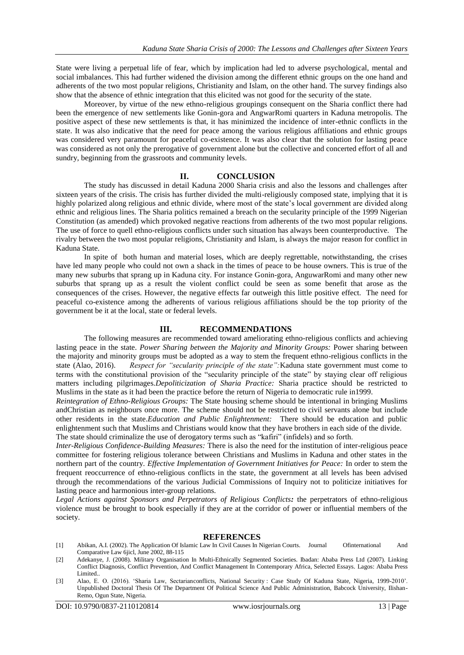State were living a perpetual life of fear, which by implication had led to adverse psychological, mental and social imbalances. This had further widened the division among the different ethnic groups on the one hand and adherents of the two most popular religions, Christianity and Islam, on the other hand. The survey findings also show that the absence of ethnic integration that this elicited was not good for the security of the state.

Moreover, by virtue of the new ethno-religious groupings consequent on the Sharia conflict there had been the emergence of new settlements like Gonin-gora and AngwarRomi quarters in Kaduna metropolis. The positive aspect of these new settlements is that, it has minimized the incidence of inter-ethnic conflicts in the state. It was also indicative that the need for peace among the various religious affiliations and ethnic groups was considered very paramount for peaceful co-existence. It was also clear that the solution for lasting peace was considered as not only the prerogative of government alone but the collective and concerted effort of all and sundry, beginning from the grassroots and community levels.

#### **II. CONCLUSION**

The study has discussed in detail Kaduna 2000 Sharia crisis and also the lessons and challenges after sixteen years of the crisis. The crisis has further divided the multi-religiously composed state, implying that it is highly polarized along religious and ethnic divide, where most of the state's local government are divided along ethnic and religious lines. The Sharia politics remained a breach on the secularity principle of the 1999 Nigerian Constitution (as amended) which provoked negative reactions from adherents of the two most popular religions. The use of force to quell ethno-religious conflicts under such situation has always been counterproductive. The rivalry between the two most popular religions, Christianity and Islam, is always the major reason for conflict in Kaduna State.

In spite of both human and material loses, which are deeply regrettable, notwithstanding, the crises have led many people who could not own a shack in the times of peace to be house owners. This is true of the many new suburbs that sprang up in Kaduna city. For instance Gonin-gora, AnguwarRomi and many other new suburbs that sprang up as a result the violent conflict could be seen as some benefit that arose as the consequences of the crises. However, the negative effects far outweigh this little positive effect. The need for peaceful co-existence among the adherents of various religious affiliations should be the top priority of the government be it at the local, state or federal levels.

#### **III. RECOMMENDATIONS**

The following measures are recommended toward ameliorating ethno-religious conflicts and achieving lasting peace in the state. *Power Sharing between the Majority and Minority Groups:* Power sharing between the majority and minority groups must be adopted as a way to stem the frequent ethno-religious conflicts in the state (Alao, 2016). Respect for "secularity principle of the state": Kaduna state government must come to Respect for "secularity principle of the state": Kaduna state government must come to terms with the constitutional provision of the "secularity principle of the state" by staying clear off religious matters including pilgrimages.*Depoliticization of Sharia Practice:* Sharia practice should be restricted to Muslims in the state as it had been the practice before the return of Nigeria to democratic rule in1999.

*Reintegration of Ethno-Religious Groups:* The State housing scheme should be intentional in bringing Muslims andChristian as neighbours once more. The scheme should not be restricted to civil servants alone but include other residents in the state.*Education and Public Enlightenment:* There should be education and public enlightenment such that Muslims and Christians would know that they have brothers in each side of the divide. The state should criminalize the use of derogatory terms such as "kafiri" (infidels) and so forth.

*Inter-Religious Confidence-Building Measures:* There is also the need for the institution of inter-religious peace committee for fostering religious tolerance between Christians and Muslims in Kaduna and other states in the northern part of the country. *Effective Implementation of Government Initiatives for Peace:* In order to stem the frequent reoccurrence of ethno-religious conflicts in the state, the government at all levels has been advised through the recommendations of the various Judicial Commissions of Inquiry not to politicize initiatives for lasting peace and harmonious inter-group relations.

*Legal Actions against Sponsors and Perpetrators of Religious Conflicts:* the perpetrators of ethno-religious violence must be brought to book especially if they are at the corridor of power or influential members of the society.

#### **REFERENCES**

- [1] Abikan, A.I. (2002). The Application Of Islamic Law In Civil Causes In Nigerian Courts. Journal Ofinternational And Comparative Law 6jicl, June 2002, 88-115
- [2] Adekanye, J. (2008). Military Organisation In Multi-Ethnically Segmented Societies. Ibadan: Ababa Press Ltd (2007). Linking Conflict Diagnosis, Conflict Prevention, And Conflict Management In Contemporary Africa, Selected Essays. Lagos: Ababa Press Limited..
- [3] Alao, E. O. (2016). "Sharia Law, Sectarianconflicts, National Security : Case Study Of Kaduna State, Nigeria, 1999-2010". Unpublished Doctoral Thesis Of The Department Of Political Science And Public Administration, Babcock University, Ilishan-Remo, Ogun State, Nigeria.